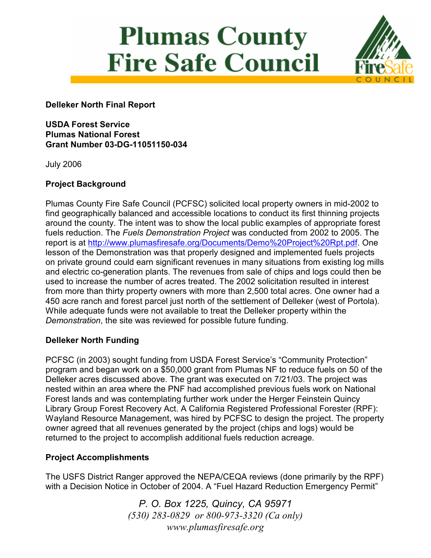# **Plumas County Fire Safe Council**



Delleker North Final Report

USDA Forest Service Plumas National Forest Grant Number 03-DG-11051150-034

July 2006

## Project Background

Plumas County Fire Safe Council (PCFSC) solicited local property owners in mid-2002 to find geographically balanced and accessible locations to conduct its first thinning projects around the county. The intent was to show the local public examples of appropriate forest fuels reduction. The Fuels Demonstration Project was conducted from 2002 to 2005. The report is at http://www.plumasfiresafe.org/Documents/Demo%20Project%20Rpt.pdf. One lesson of the Demonstration was that properly designed and implemented fuels projects on private ground could earn significant revenues in many situations from existing log mills and electric co-generation plants. The revenues from sale of chips and logs could then be used to increase the number of acres treated. The 2002 solicitation resulted in interest from more than thirty property owners with more than 2,500 total acres. One owner had a 450 acre ranch and forest parcel just north of the settlement of Delleker (west of Portola). While adequate funds were not available to treat the Delleker property within the Demonstration, the site was reviewed for possible future funding.

# Delleker North Funding

PCFSC (in 2003) sought funding from USDA Forest Service's "Community Protection" program and began work on a \$50,000 grant from Plumas NF to reduce fuels on 50 of the Delleker acres discussed above. The grant was executed on 7/21/03. The project was nested within an area where the PNF had accomplished previous fuels work on National Forest lands and was contemplating further work under the Herger Feinstein Quincy Library Group Forest Recovery Act. A California Registered Professional Forester (RPF): Wayland Resource Management, was hired by PCFSC to design the project. The property owner agreed that all revenues generated by the project (chips and logs) would be returned to the project to accomplish additional fuels reduction acreage.

## Project Accomplishments

The USFS District Ranger approved the NEPA/CEQA reviews (done primarily by the RPF) with a Decision Notice in October of 2004. A "Fuel Hazard Reduction Emergency Permit"

> P. O. Box 1225, Quincy, CA 95971 (530) 283-0829 or 800-973-3320 (Ca only) www.plumasfiresafe.org